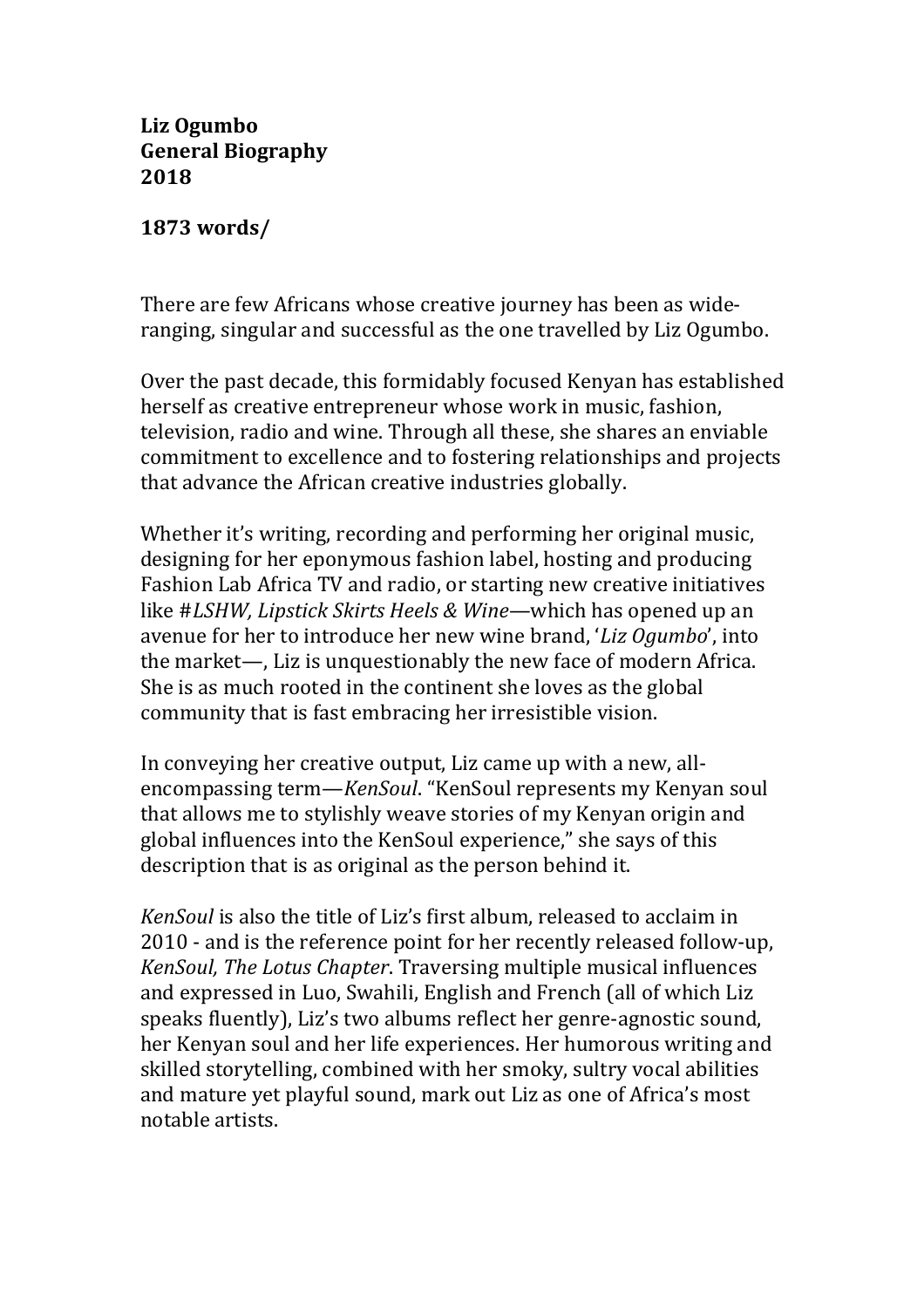**Liz Ogumbo General Biography 2018**

**1873 words/**

There are few Africans whose creative journey has been as wideranging, singular and successful as the one travelled by Liz Ogumbo.

Over the past decade, this formidably focused Kenyan has established herself as creative entrepreneur whose work in music, fashion, television, radio and wine. Through all these, she shares an enviable commitment to excellence and to fostering relationships and projects that advance the African creative industries globally.

Whether it's writing, recording and performing her original music, designing for her eponymous fashion label, hosting and producing Fashion Lab Africa TV and radio, or starting new creative initiatives like #LSHW, Lipstick Skirts Heels & Wine—which has opened up an avenue for her to introduce her new wine brand, '*Liz Ogumbo*', into the market—, Liz is unquestionably the new face of modern Africa. She is as much rooted in the continent she loves as the global community that is fast embracing her irresistible vision.

In conveying her creative output, Liz came up with a new, allencompassing term—*KenSoul*. "KenSoul represents my Kenyan soul that allows me to stylishly weave stories of my Kenyan origin and global influences into the KenSoul experience," she says of this description that is as original as the person behind it.

*KenSoul* is also the title of Liz's first album, released to acclaim in 2010 - and is the reference point for her recently released follow-up, *KenSoul, The Lotus Chapter.* Traversing multiple musical influences and expressed in Luo, Swahili, English and French (all of which Liz speaks fluently), Liz's two albums reflect her genre-agnostic sound, her Kenyan soul and her life experiences. Her humorous writing and skilled storytelling, combined with her smoky, sultry vocal abilities and mature yet playful sound, mark out Liz as one of Africa's most notable artists.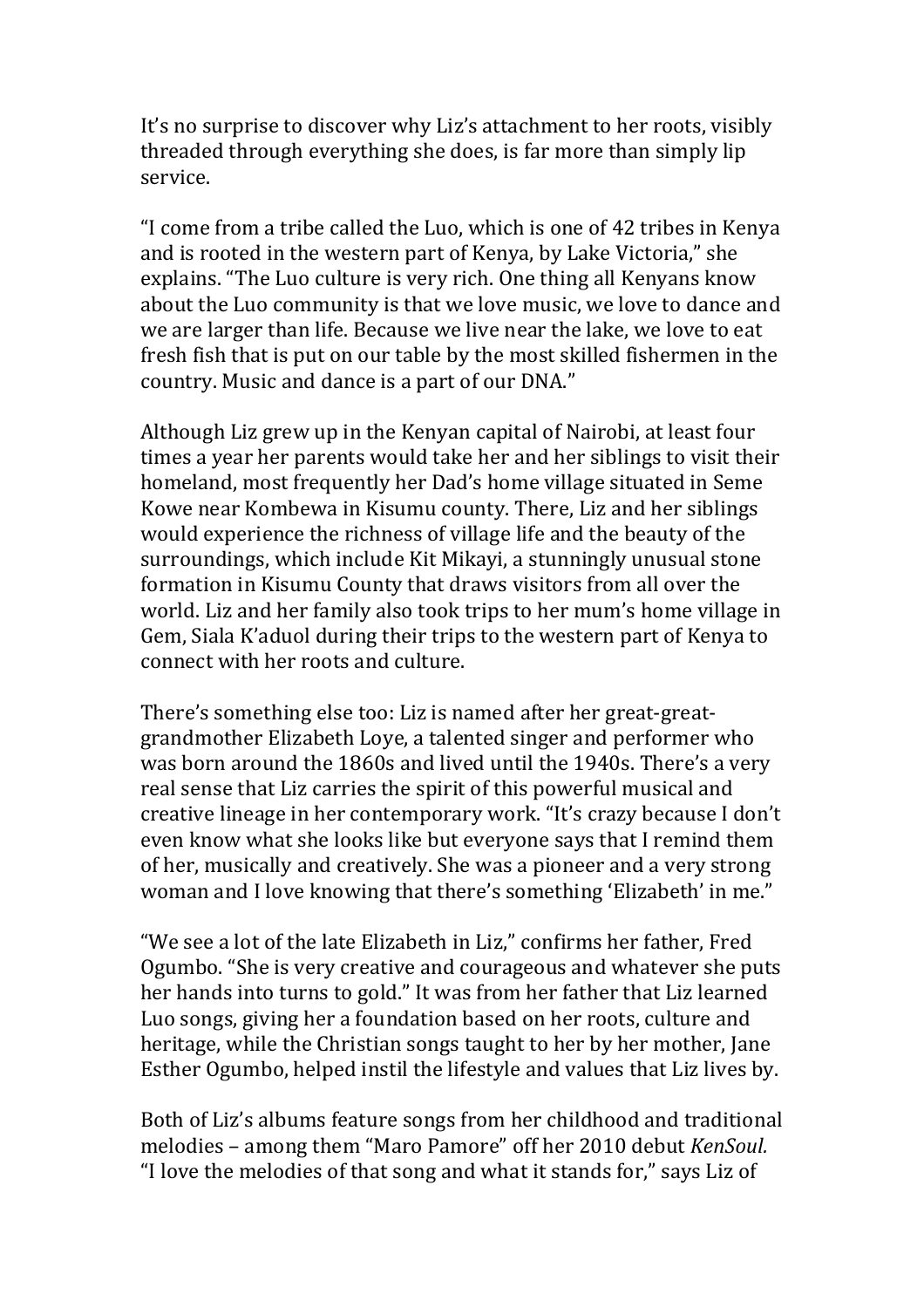It's no surprise to discover why Liz's attachment to her roots, visibly threaded through everything she does, is far more than simply lip service.

"I come from a tribe called the Luo, which is one of 42 tribes in Kenya and is rooted in the western part of Kenya, by Lake Victoria," she explains. "The Luo culture is very rich. One thing all Kenyans know about the Luo community is that we love music, we love to dance and we are larger than life. Because we live near the lake, we love to eat fresh fish that is put on our table by the most skilled fishermen in the country. Music and dance is a part of our DNA."

Although Liz grew up in the Kenyan capital of Nairobi, at least four times a year her parents would take her and her siblings to visit their homeland, most frequently her Dad's home village situated in Seme Kowe near Kombewa in Kisumu county. There, Liz and her siblings would experience the richness of village life and the beauty of the surroundings, which include Kit Mikayi, a stunningly unusual stone formation in Kisumu County that draws visitors from all over the world. Liz and her family also took trips to her mum's home village in Gem, Siala K'aduol during their trips to the western part of Kenya to connect with her roots and culture.

There's something else too: Liz is named after her great-greatgrandmother Elizabeth Loye, a talented singer and performer who was born around the 1860s and lived until the 1940s. There's a very real sense that Liz carries the spirit of this powerful musical and creative lineage in her contemporary work. "It's crazy because I don't even know what she looks like but everyone says that I remind them of her, musically and creatively. She was a pioneer and a very strong woman and I love knowing that there's something 'Elizabeth' in me."

"We see a lot of the late Elizabeth in Liz," confirms her father, Fred Ogumbo. "She is very creative and courageous and whatever she puts her hands into turns to gold." It was from her father that Liz learned Luo songs, giving her a foundation based on her roots, culture and heritage, while the Christian songs taught to her by her mother, Jane Esther Ogumbo, helped instil the lifestyle and values that Liz lives by.

Both of Liz's albums feature songs from her childhood and traditional melodies – among them "Maro Pamore" off her 2010 debut *KenSoul.* "I love the melodies of that song and what it stands for," says Liz of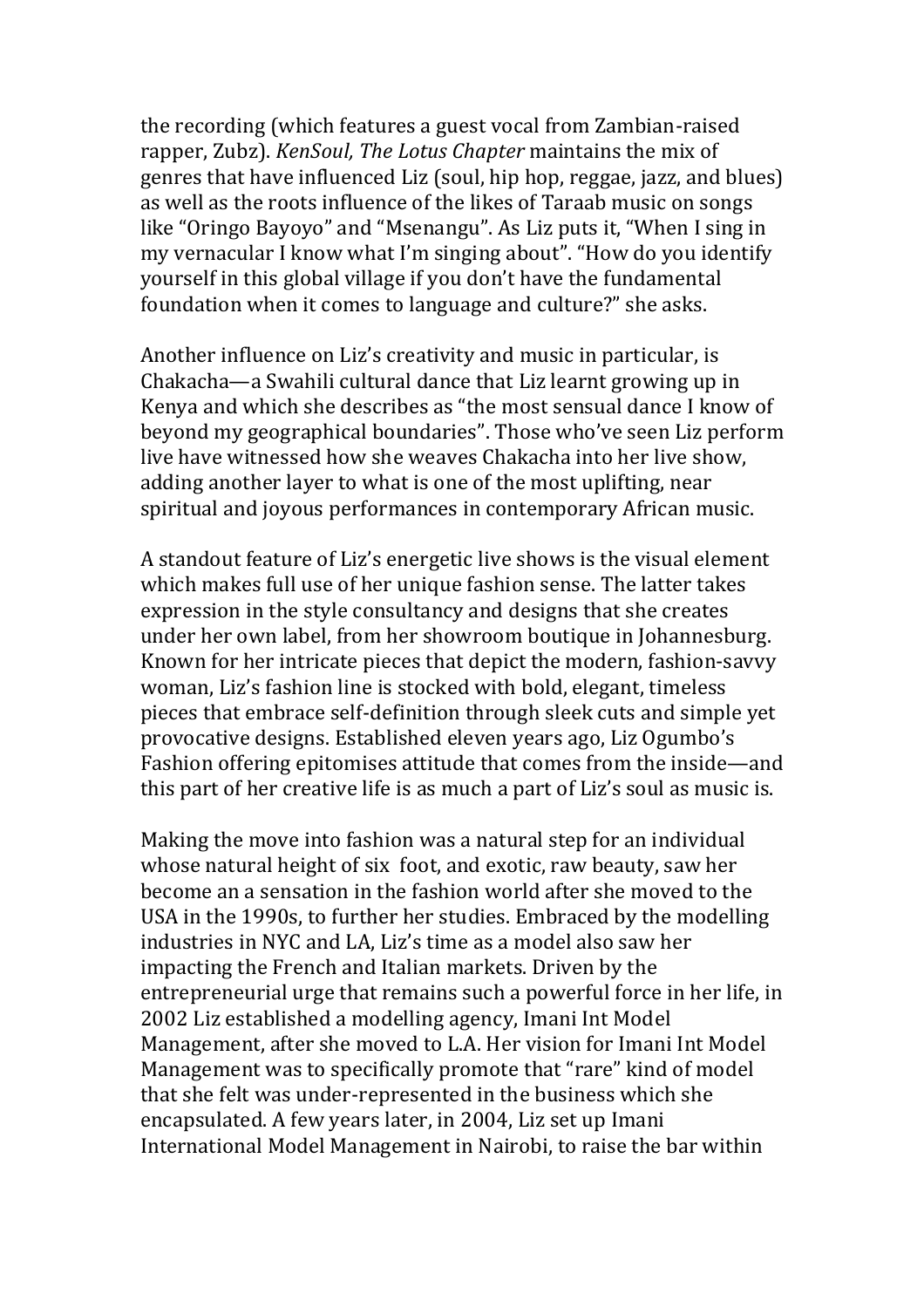the recording (which features a guest vocal from Zambian-raised rapper, Zubz). *KenSoul, The Lotus Chapter* maintains the mix of genres that have influenced Liz (soul, hip hop, reggae, jazz, and blues) as well as the roots influence of the likes of Taraab music on songs like "Oringo Bayoyo" and "Msenangu". As Liz puts it, "When I sing in my vernacular I know what I'm singing about". "How do you identify yourself in this global village if you don't have the fundamental foundation when it comes to language and culture?" she asks.

Another influence on Liz's creativity and music in particular, is Chakacha—a Swahili cultural dance that Liz learnt growing up in Kenya and which she describes as "the most sensual dance I know of beyond my geographical boundaries". Those who've seen Liz perform live have witnessed how she weaves Chakacha into her live show, adding another layer to what is one of the most uplifting, near spiritual and joyous performances in contemporary African music.

A standout feature of Liz's energetic live shows is the visual element which makes full use of her unique fashion sense. The latter takes expression in the style consultancy and designs that she creates under her own label, from her showroom boutique in Johannesburg. Known for her intricate pieces that depict the modern, fashion-savvy woman, Liz's fashion line is stocked with bold, elegant, timeless pieces that embrace self-definition through sleek cuts and simple yet provocative designs. Established eleven years ago, Liz Ogumbo's Fashion offering epitomises attitude that comes from the inside-and this part of her creative life is as much a part of Liz's soul as music is.

Making the move into fashion was a natural step for an individual whose natural height of six foot, and exotic, raw beauty, saw her become an a sensation in the fashion world after she moved to the USA in the 1990s, to further her studies. Embraced by the modelling industries in NYC and LA, Liz's time as a model also saw her impacting the French and Italian markets. Driven by the entrepreneurial urge that remains such a powerful force in her life, in 2002 Liz established a modelling agency, Imani Int Model Management, after she moved to L.A. Her vision for Imani Int Model Management was to specifically promote that "rare" kind of model that she felt was under-represented in the business which she encapsulated. A few years later, in 2004, Liz set up Imani International Model Management in Nairobi, to raise the bar within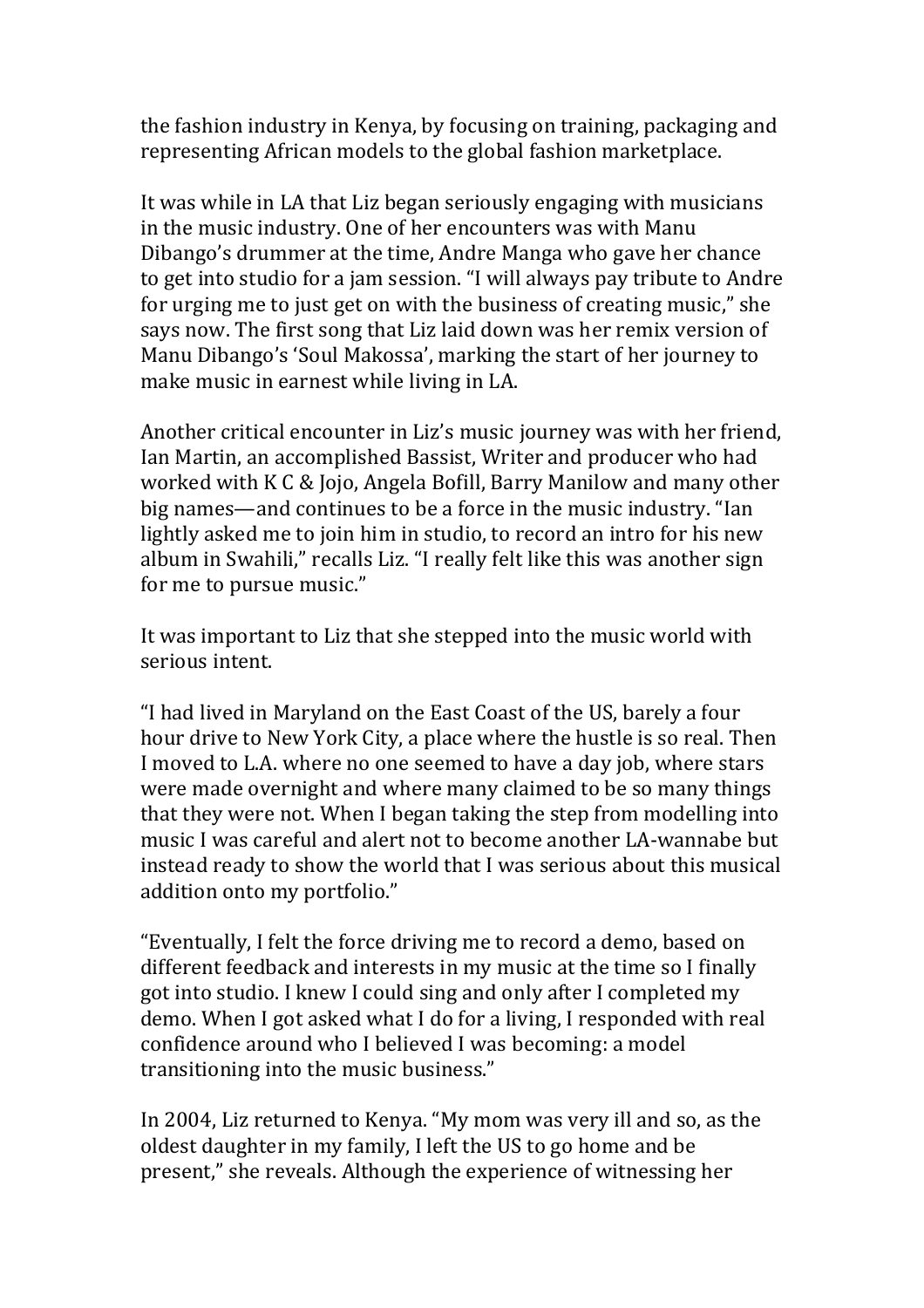the fashion industry in Kenya, by focusing on training, packaging and representing African models to the global fashion marketplace.

It was while in LA that Liz began seriously engaging with musicians in the music industry. One of her encounters was with Manu Dibango's drummer at the time, Andre Manga who gave her chance to get into studio for a jam session. "I will always pay tribute to Andre for urging me to just get on with the business of creating music," she says now. The first song that Liz laid down was her remix version of Manu Dibango's 'Soul Makossa', marking the start of her journey to make music in earnest while living in LA.

Another critical encounter in Liz's music journey was with her friend, Ian Martin, an accomplished Bassist, Writer and producer who had worked with K C & Jojo, Angela Bofill, Barry Manilow and many other big names—and continues to be a force in the music industry. "Ian lightly asked me to join him in studio, to record an intro for his new album in Swahili," recalls Liz. "I really felt like this was another sign for me to pursue music."

It was important to Liz that she stepped into the music world with serious intent.

"I had lived in Maryland on the East Coast of the US, barely a four hour drive to New York City, a place where the hustle is so real. Then I moved to L.A. where no one seemed to have a day job, where stars were made overnight and where many claimed to be so many things that they were not. When I began taking the step from modelling into music I was careful and alert not to become another LA-wannabe but instead ready to show the world that I was serious about this musical addition onto my portfolio."

"Eventually, I felt the force driving me to record a demo, based on different feedback and interests in my music at the time so I finally got into studio. I knew I could sing and only after I completed my demo. When I got asked what I do for a living, I responded with real confidence around who I believed I was becoming: a model transitioning into the music business."

In 2004, Liz returned to Kenya. "My mom was very ill and so, as the oldest daughter in my family, I left the US to go home and be present," she reveals. Although the experience of witnessing her